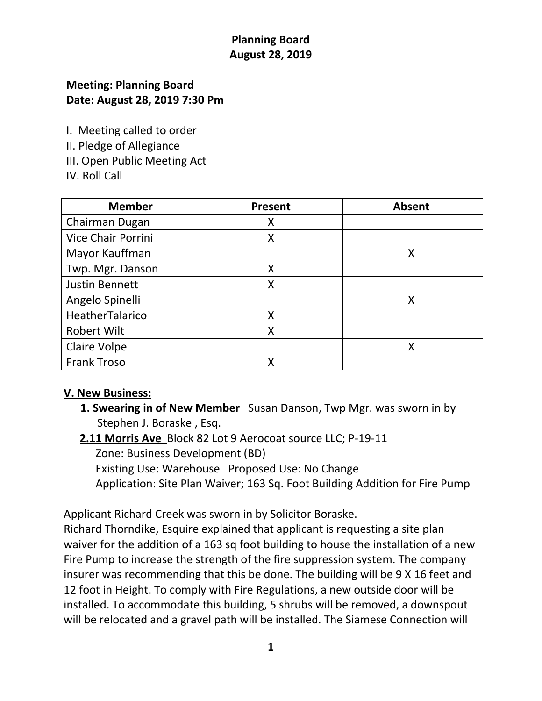# **Planning Board August 28, 2019**

### **Meeting: Planning Board Date: August 28, 2019 7:30 Pm**

I. Meeting called to order

II. Pledge of Allegiance

- III. Open Public Meeting Act
- IV. Roll Call

| <b>Member</b>             | Present | <b>Absent</b> |
|---------------------------|---------|---------------|
| Chairman Dugan            |         |               |
| <b>Vice Chair Porrini</b> | Χ       |               |
| Mayor Kauffman            |         | Χ             |
| Twp. Mgr. Danson          | Χ       |               |
| Justin Bennett            | X       |               |
| Angelo Spinelli           |         |               |
| HeatherTalarico           | χ       |               |
| <b>Robert Wilt</b>        | x       |               |
| <b>Claire Volpe</b>       |         |               |
| <b>Frank Troso</b>        |         |               |

## **V. New Business:**

- **1. Swearing in of New Member** Susan Danson, Twp Mgr. was sworn in by Stephen J. Boraske , Esq.
- **2.11 Morris Ave** Block 82 Lot 9 Aerocoat source LLC; P-19-11 Zone: Business Development (BD) Existing Use: Warehouse Proposed Use: No Change Application: Site Plan Waiver; 163 Sq. Foot Building Addition for Fire Pump

Applicant Richard Creek was sworn in by Solicitor Boraske.

Richard Thorndike, Esquire explained that applicant is requesting a site plan waiver for the addition of a 163 sq foot building to house the installation of a new Fire Pump to increase the strength of the fire suppression system. The company insurer was recommending that this be done. The building will be 9 X 16 feet and 12 foot in Height. To comply with Fire Regulations, a new outside door will be installed. To accommodate this building, 5 shrubs will be removed, a downspout will be relocated and a gravel path will be installed. The Siamese Connection will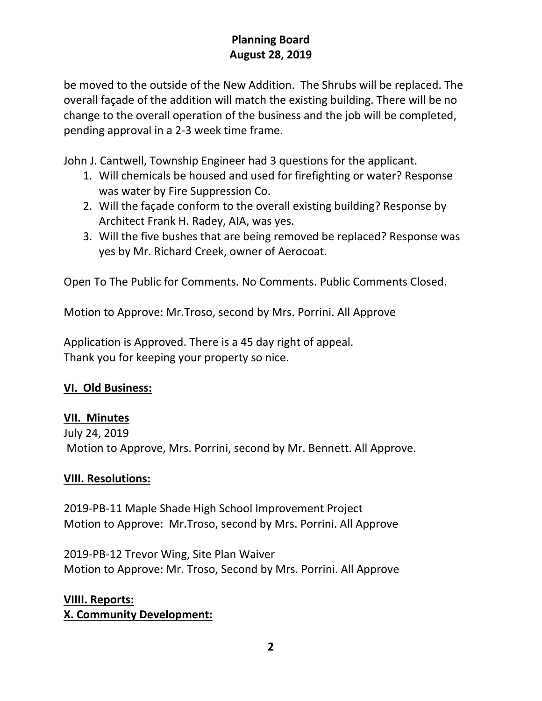# **Planning Board August 28, 2019**

be moved to the outside of the New Addition. The Shrubs will be replaced. The overall façade of the addition will match the existing building. There will be no change to the overall operation of the business and the job will be completed, pending approval in a 2-3 week time frame.

John J. Cantwell, Township Engineer had 3 questions for the applicant.

- 1. Will chemicals be housed and used for firefighting or water? Response was water by Fire Suppression Co.
- 2. Will the façade conform to the overall existing building? Response by Architect Frank H. Radey, AIA, was yes.
- 3. Will the five bushes that are being removed be replaced? Response was yes by Mr. Richard Creek, owner of Aerocoat.

Open To The Public for Comments. No Comments. Public Comments Closed.

Motion to Approve: Mr.Troso, second by Mrs. Porrini. All Approve

Application is Approved. There is a 45 day right of appeal. Thank you for keeping your property so nice.

#### **VI. Old Business:**

#### **VII. Minutes**

July 24, 2019 Motion to Approve, Mrs. Porrini, second by Mr. Bennett. All Approve.

#### **VIII. Resolutions:**

2019-PB-11 Maple Shade High School Improvement Project Motion to Approve: Mr.Troso, second by Mrs. Porrini. All Approve

2019-PB-12 Trevor Wing, Site Plan Waiver Motion to Approve: Mr. Troso, Second by Mrs. Porrini. All Approve

## **VIIII. Reports:**

**X. Community Development:**